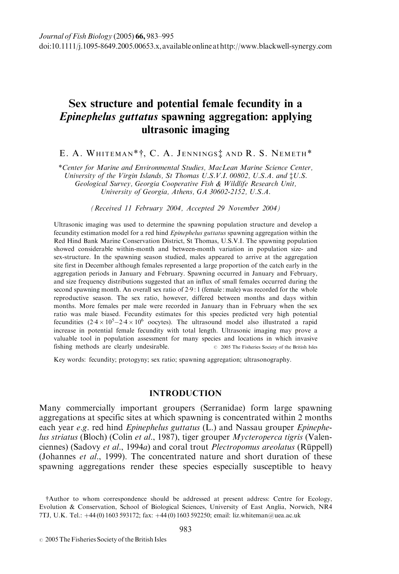# Sex structure and potential female fecundity in a Epinephelus guttatus spawning aggregation: applying ultrasonic imaging

# E. A. WHITEMAN\*†, C. A. JENNINGS<sup>†</sup> AND R. S. NEMETH<sup>\*</sup>

\*Center for Marine and Environmental Studies, MacLean Marine Science Center, University of the Virgin Islands, St Thomas U.S.V.I. 00802, U.S.A. and ‡U.S. Geological Survey, Georgia Cooperative Fish & Wildlife Research Unit, University of Georgia, Athens, GA 30602-2152, U.S.A.

(Received 11 February 2004, Accepted 29 November 2004)

Ultrasonic imaging was used to determine the spawning population structure and develop a fecundity estimation model for a red hind Epinephelus guttatus spawning aggregation within the Red Hind Bank Marine Conservation District, St Thomas, U.S.V.I. The spawning population showed considerable within-month and between-month variation in population size- and sex-structure. In the spawning season studied, males appeared to arrive at the aggregation site first in December although females represented a large proportion of the catch early in the aggregation periods in January and February. Spawning occurred in January and February, and size frequency distributions suggested that an influx of small females occurred during the second spawning month. An overall sex ratio of 2.9:1 (female: male) was recorded for the whole reproductive season. The sex ratio, however, differed between months and days within months. More females per male were recorded in January than in February when the sex ratio was male biased. Fecundity estimates for this species predicted very high potential fecundities  $(2.4 \times 10^5 - 2.4 \times 10^6)$  oocytes). The ultrasound model also illustrated a rapid increase in potential female fecundity with total length. Ultrasonic imaging may prove a valuable tool in population assessment for many species and locations in which invasive fishing methods are clearly undesirable.  $\degree$  2005 The Fisheries Society of the British Isles

Key words: fecundity; protogyny; sex ratio; spawning aggregation; ultrasonography.

# INTRODUCTION

Many commercially important groupers (Serranidae) form large spawning aggregations at specific sites at which spawning is concentrated within 2 months each year  $e.g.$  red hind *Epinephelus guttatus* (L.) and Nassau grouper *Epinephe*lus striatus (Bloch) (Colin et al., 1987), tiger grouper Mycteroperca tigris (Valenciennes) (Sadovy et al., 1994a) and coral trout *Plectropomus areolatus* (Rüppell) (Johannes et al., 1999). The concentrated nature and short duration of these spawning aggregations render these species especially susceptible to heavy

<sup>†</sup>Author to whom correspondence should be addressed at present address: Centre for Ecology, Evolution & Conservation, School of Biological Sciences, University of East Anglia, Norwich, NR4 7TJ, U.K. Tel.: +44 (0) 1603 593172; fax: +44 (0) 1603 592250; email: liz.whiteman@uea.ac.uk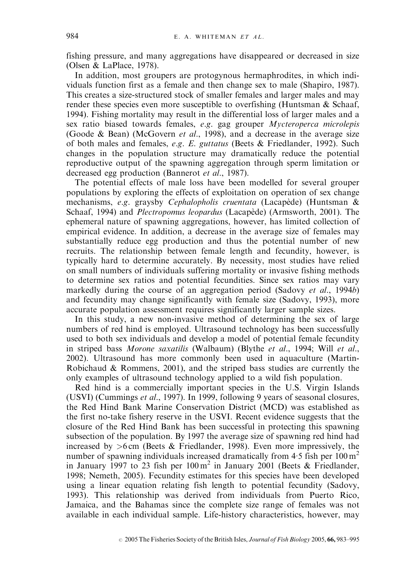fishing pressure, and many aggregations have disappeared or decreased in size (Olsen & LaPlace, 1978).

In addition, most groupers are protogynous hermaphrodites, in which individuals function first as a female and then change sex to male (Shapiro, 1987). This creates a size-structured stock of smaller females and larger males and may render these species even more susceptible to overfishing (Huntsman  $\&$  Schaaf, 1994). Fishing mortality may result in the differential loss of larger males and a sex ratio biased towards females, e.g. gag grouper Mycteroperca microlepis (Goode & Bean) (McGovern et al., 1998), and a decrease in the average size of both males and females, e.g. E. guttatus (Beets & Friedlander, 1992). Such changes in the population structure may dramatically reduce the potential reproductive output of the spawning aggregation through sperm limitation or decreased egg production (Bannerot et al., 1987).

The potential effects of male loss have been modelled for several grouper populations by exploring the effects of exploitation on operation of sex change mechanisms, e.g. graysby Cephalopholis cruentata (Lacapède) (Huntsman  $\&$ Schaaf, 1994) and *Plectropomus leopardus* (Lacapède) (Armsworth, 2001). The ephemeral nature of spawning aggregations, however, has limited collection of empirical evidence. In addition, a decrease in the average size of females may substantially reduce egg production and thus the potential number of new recruits. The relationship between female length and fecundity, however, is typically hard to determine accurately. By necessity, most studies have relied on small numbers of individuals suffering mortality or invasive fishing methods to determine sex ratios and potential fecundities. Since sex ratios may vary markedly during the course of an aggregation period (Sadovy *et al.*, 1994b) and fecundity may change significantly with female size (Sadovy, 1993), more accurate population assessment requires significantly larger sample sizes.

In this study, a new non-invasive method of determining the sex of large numbers of red hind is employed. Ultrasound technology has been successfully used to both sex individuals and develop a model of potential female fecundity in striped bass Morone saxatilis (Walbaum) (Blythe et al., 1994; Will et al., 2002). Ultrasound has more commonly been used in aquaculture (Martin-Robichaud & Rommens, 2001), and the striped bass studies are currently the only examples of ultrasound technology applied to a wild fish population.

Red hind is a commercially important species in the U.S. Virgin Islands (USVI) (Cummings et al., 1997). In 1999, following 9 years of seasonal closures, the Red Hind Bank Marine Conservation District (MCD) was established as the first no-take fishery reserve in the USVI. Recent evidence suggests that the closure of the Red Hind Bank has been successful in protecting this spawning subsection of the population. By 1997 the average size of spawning red hind had increased by  $>6$  cm (Beets & Friedlander, 1998). Even more impressively, the number of spawning individuals increased dramatically from  $4.5$  fish per  $100 \text{ m}^2$ in January 1997 to 23 fish per  $100 \text{ m}^2$  in January 2001 (Beets & Friedlander, 1998; Nemeth, 2005). Fecundity estimates for this species have been developed using a linear equation relating fish length to potential fecundity (Sadovy, 1993). This relationship was derived from individuals from Puerto Rico, Jamaica, and the Bahamas since the complete size range of females was not available in each individual sample. Life-history characteristics, however, may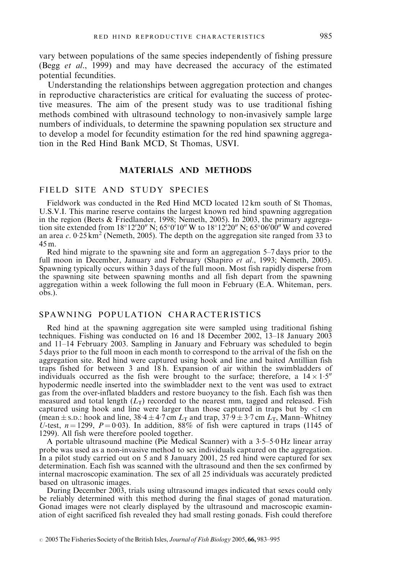vary between populations of the same species independently of fishing pressure (Begg et al., 1999) and may have decreased the accuracy of the estimated potential fecundities.

Understanding the relationships between aggregation protection and changes in reproductive characteristics are critical for evaluating the success of protective measures. The aim of the present study was to use traditional fishing methods combined with ultrasound technology to non-invasively sample large numbers of individuals, to determine the spawning population sex structure and to develop a model for fecundity estimation for the red hind spawning aggregation in the Red Hind Bank MCD, St Thomas, USVI.

# MATERIALS AND METHODS

# FIELD SITE AND STUDY SPECIES

Fieldwork was conducted in the Red Hind MCD located 12 km south of St Thomas, U.S.V.I. This marine reserve contains the largest known red hind spawning aggregation in the region (Beets & Friedlander, 1998; Nemeth, 2005). In 2003, the primary aggregation site extended from 18°12'20" N; 65°0'10" W to 18°12'20" N; 65°06'00" W and covered an area c. 0.25 km<sup>2</sup> (Nemeth, 2005). The depth on the aggregation site ranged from 33 to 45 m.

Red hind migrate to the spawning site and form an aggregation 5–7 days prior to the full moon in December, January and February (Shapiro et al., 1993; Nemeth, 2005). Spawning typically occurs within 3 days of the full moon. Most fish rapidly disperse from the spawning site between spawning months and all fish depart from the spawning aggregation within a week following the full moon in February (E.A. Whiteman, pers. obs.).

# SPAWNING POPULATION CHARACTERISTICS

Red hind at the spawning aggregation site were sampled using traditional fishing techniques. Fishing was conducted on 16 and 18 December 2002, 13–18 January 2003 and 11–14 February 2003. Sampling in January and February was scheduled to begin 5 days prior to the full moon in each month to correspond to the arrival of the fish on the aggregation site. Red hind were captured using hook and line and baited Antillian fish traps fished for between 3 and 18 h. Expansion of air within the swimbladders of individuals occurred as the fish were brought to the surface; therefore, a  $14 \times 1.5$ " hypodermic needle inserted into the swimbladder next to the vent was used to extract gas from the over-inflated bladders and restore buoyancy to the fish. Each fish was then measured and total length  $(L_T)$  recorded to the nearest mm, tagged and released. Fish captured using hook and line were larger than those captured in traps but by <1 cm (mean  $\pm$  s.p.: hook and line, 38.4  $\pm$  4.7 cm  $L_T$  and trap, 37.9  $\pm$  3.7 cm  $L_T$ , Mann–Whitney U-test,  $n = 1299$ ,  $P = 0.03$ ). In addition, 88% of fish were captured in traps (1145 of 1299). All fish were therefore pooled together.

A portable ultrasound machine (Pie Medical Scanner) with a  $3.5-5.0$  Hz linear array probe was used as a non-invasive method to sex individuals captured on the aggregation. In a pilot study carried out on 5 and 8 January 2001, 25 red hind were captured for sex determination. Each fish was scanned with the ultrasound and then the sex confirmed by internal macroscopic examination. The sex of all 25 individuals was accurately predicted based on ultrasonic images.

During December 2003, trials using ultrasound images indicated that sexes could only be reliably determined with this method during the final stages of gonad maturation. Gonad images were not clearly displayed by the ultrasound and macroscopic examination of eight sacrificed fish revealed they had small resting gonads. Fish could therefore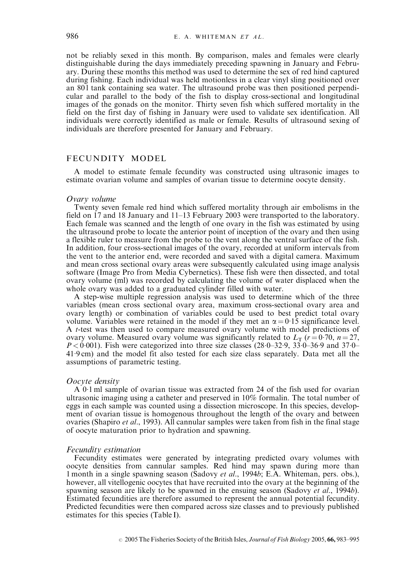not be reliably sexed in this month. By comparison, males and females were clearly distinguishable during the days immediately preceding spawning in January and February. During these months this method was used to determine the sex of red hind captured during fishing. Each individual was held motionless in a clear vinyl sling positioned over an 801 tank containing sea water. The ultrasound probe was then positioned perpendicular and parallel to the body of the fish to display cross-sectional and longitudinal images of the gonads on the monitor. Thirty seven fish which suffered mortality in the field on the first day of fishing in January were used to validate sex identification. All individuals were correctly identified as male or female. Results of ultrasound sexing of individuals are therefore presented for January and February.

## FECUNDITY MODEL

A model to estimate female fecundity was constructed using ultrasonic images to estimate ovarian volume and samples of ovarian tissue to determine oocyte density.

#### Ovary volume

Twenty seven female red hind which suffered mortality through air embolisms in the field on 17 and 18 January and 11–13 February 2003 were transported to the laboratory. Each female was scanned and the length of one ovary in the fish was estimated by using the ultrasound probe to locate the anterior point of inception of the ovary and then using a flexible ruler to measure from the probe to the vent along the ventral surface of the fish. In addition, four cross-sectional images of the ovary, recorded at uniform intervals from the vent to the anterior end, were recorded and saved with a digital camera. Maximum and mean cross sectional ovary areas were subsequently calculated using image analysis software (Image Pro from Media Cybernetics). These fish were then dissected, and total ovary volume (ml) was recorded by calculating the volume of water displaced when the whole ovary was added to a graduated cylinder filled with water.

A step-wise multiple regression analysis was used to determine which of the three variables (mean cross sectional ovary area, maximum cross-sectional ovary area and ovary length) or combination of variables could be used to best predict total ovary volume. Variables were retained in the model if they met an  $\alpha = 0.15$  significance level. A t-test was then used to compare measured ovary volume with model predictions of ovary volume. Measured ovary volume was significantly related to  $L_T$  (r = 0.70, n = 27,  $P < 0.001$ ). Fish were categorized into three size classes (28.0–32.9, 33.0–36.9 and 37.0–  $41.9 \text{ cm}$ ) and the model fit also tested for each size class separately. Data met all the assumptions of parametric testing.

#### Oocyte density

A 01 ml sample of ovarian tissue was extracted from 24 of the fish used for ovarian ultrasonic imaging using a catheter and preserved in 10% formalin. The total number of eggs in each sample was counted using a dissection microscope. In this species, development of ovarian tissue is homogenous throughout the length of the ovary and between ovaries (Shapiro *et al.*, 1993). All cannular samples were taken from fish in the final stage of oocyte maturation prior to hydration and spawning.

#### Fecundity estimation

Fecundity estimates were generated by integrating predicted ovary volumes with oocyte densities from cannular samples. Red hind may spawn during more than 1 month in a single spawning season (Sadovy et al., 1994b; E.A. Whiteman, pers. obs.), however, all vitellogenic oocytes that have recruited into the ovary at the beginning of the spawning season are likely to be spawned in the ensuing season (Sadovy *et al.*, 1994*b*). Estimated fecundities are therefore assumed to represent the annual potential fecundity. Predicted fecundities were then compared across size classes and to previously published estimates for this species (Table I).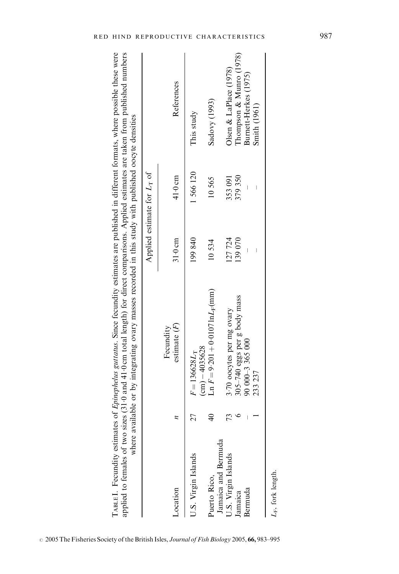| e were<br>e possible thes<br>is guitatus. Since fecundity estimates are published in different formats, where<br>of Fninen<br>$\frac{1}{2}$<br>くないのコ | es (31.0 and 41.0 cm total length) for direct comparisons. Applied estimates are taken from published numbers<br>polied to females of two size | portion<br>ulable or by integrating ovary masses recorded in this study with published oocyte den<br>ה<br>הביים |
|------------------------------------------------------------------------------------------------------------------------------------------------------|------------------------------------------------------------------------------------------------------------------------------------------------|-----------------------------------------------------------------------------------------------------------------|
|------------------------------------------------------------------------------------------------------------------------------------------------------|------------------------------------------------------------------------------------------------------------------------------------------------|-----------------------------------------------------------------------------------------------------------------|

|                                     |                          | applied to females of two sizes (31.0 and 41.0 cm total length) for direct comparisons. Applied estimates are taken from published numbers<br>TABLE I. Fecundity estimates of <i>Epinephelus guttatus</i> . Since fecundity estimates are published in different formats, where possible these were<br>where available or by integrating ovary masses recorded in this study with published oocyte densities |         |                               |                             |
|-------------------------------------|--------------------------|--------------------------------------------------------------------------------------------------------------------------------------------------------------------------------------------------------------------------------------------------------------------------------------------------------------------------------------------------------------------------------------------------------------|---------|-------------------------------|-----------------------------|
|                                     |                          |                                                                                                                                                                                                                                                                                                                                                                                                              |         | Applied estimate for $L_T$ of |                             |
| Location                            |                          | estimate $(F)$<br>Fecundity                                                                                                                                                                                                                                                                                                                                                                                  | 31.0cm  | 41.0 cm                       | References                  |
| U.S. Virgin Islands                 | 27                       | $\text{(cm)} - 4035628$<br>$F = 136628 L_T$                                                                                                                                                                                                                                                                                                                                                                  | 199840  | 1566120                       | This study                  |
| Janaica and Bermuda<br>Puerto Rico, |                          | $\text{Ln } F = 9.201 + 0.0107 \ln L_{\rm F} \text{(mm)}$                                                                                                                                                                                                                                                                                                                                                    | 10534   | 10565                         | Sadovy (1993)               |
| U.S. Virgin Islands                 | 73                       | 3.70 oocytes per mg ovary                                                                                                                                                                                                                                                                                                                                                                                    | 127 724 | 353 091                       | $O$ lsen & LaPlace $(1978)$ |
| Jamaica                             |                          | 305-740 eggs per g body mass                                                                                                                                                                                                                                                                                                                                                                                 | 139 070 | 379 350                       | Thompson & Munro (1978)     |
| Bermuda                             | $\overline{\phantom{a}}$ | 90 000 - 3 365 000                                                                                                                                                                                                                                                                                                                                                                                           |         |                               | Burnett-Herkes (1975)       |
|                                     |                          | 233 237                                                                                                                                                                                                                                                                                                                                                                                                      |         | I                             | Smith (1961)                |
| $L_F$ , fork length.                |                          |                                                                                                                                                                                                                                                                                                                                                                                                              |         |                               |                             |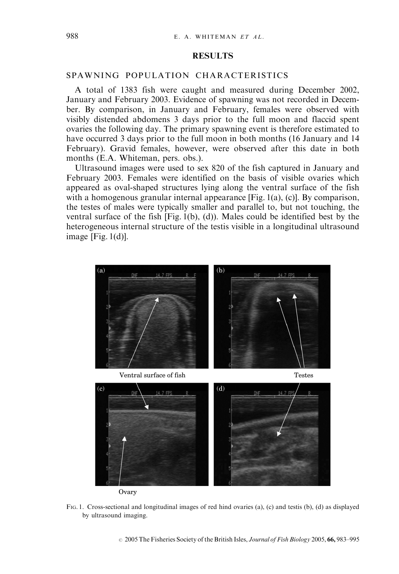### **RESULTS**

## SPAWNING POPULATION CHARACTERISTICS

A total of 1383 fish were caught and measured during December 2002, January and February 2003. Evidence of spawning was not recorded in December. By comparison, in January and February, females were observed with visibly distended abdomens 3 days prior to the full moon and flaccid spent ovaries the following day. The primary spawning event is therefore estimated to have occurred 3 days prior to the full moon in both months (16 January and 14 February). Gravid females, however, were observed after this date in both months (E.A. Whiteman, pers. obs.).

Ultrasound images were used to sex 820 of the fish captured in January and February 2003. Females were identified on the basis of visible ovaries which appeared as oval-shaped structures lying along the ventral surface of the fish with a homogenous granular internal appearance [Fig. 1(a), (c)]. By comparison, the testes of males were typically smaller and parallel to, but not touching, the ventral surface of the fish [Fig. 1(b), (d)). Males could be identified best by the heterogeneous internal structure of the testis visible in a longitudinal ultrasound image  $[Fig. 1(d)]$ .



FIG. 1. Cross-sectional and longitudinal images of red hind ovaries (a), (c) and testis (b), (d) as displayed by ultrasound imaging.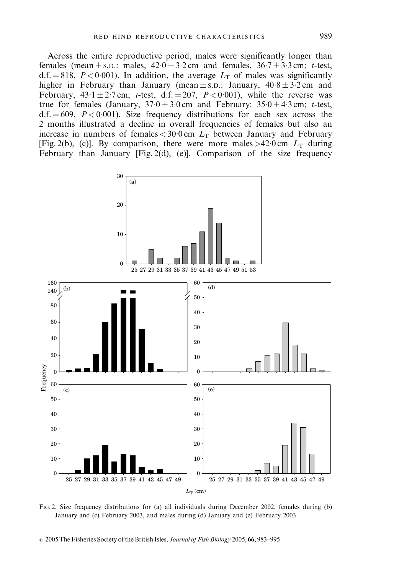Across the entire reproductive period, males were significantly longer than females (mean  $\pm$  s.D.: males,  $42.0 \pm 3.2$  cm and females,  $36.7 \pm 3.3$  cm; t-test,  $d.f. = 818$ ,  $P < 0.001$ ). In addition, the average  $L<sub>T</sub>$  of males was significantly higher in February than January (mean  $\pm$  s.p.: January,  $40.8 \pm 3.2$  cm and February,  $43.1 \pm 2.7$  cm; t-test, d.f. = 207,  $P < 0.001$ ), while the reverse was true for females (January,  $37.0 \pm 3.0$  cm and February:  $35.0 \pm 4.3$  cm; t-test,  $d.f. = 609$ ,  $P < 0.001$ ). Size frequency distributions for each sex across the 2 months illustrated a decline in overall frequencies of females but also an increase in numbers of females  $<$  30.0 cm  $L<sub>T</sub>$  between January and February [Fig. 2(b), (c)]. By comparison, there were more males >42.0 cm  $L<sub>T</sub>$  during February than January [Fig. 2(d), (e)]. Comparison of the size frequency



FIG. 2. Size frequency distributions for (a) all individuals during December 2002, females during (b) January and (c) February 2003, and males during (d) January and (e) February 2003.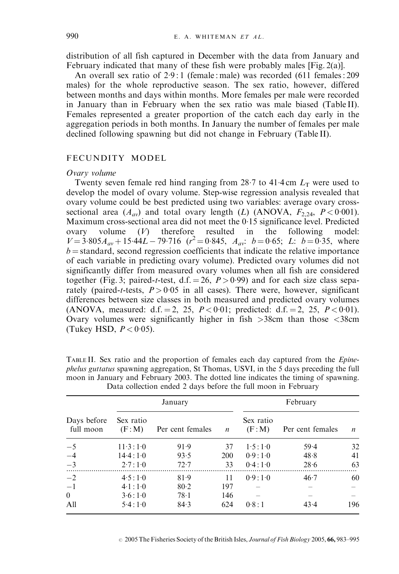distribution of all fish captured in December with the data from January and February indicated that many of these fish were probably males [Fig. 2(a)].

An overall sex ratio of  $2.9:1$  (female : male) was recorded (611 females : 209 males) for the whole reproductive season. The sex ratio, however, differed between months and days within months. More females per male were recorded in January than in February when the sex ratio was male biased (Table II). Females represented a greater proportion of the catch each day early in the aggregation periods in both months. In January the number of females per male declined following spawning but did not change in February (Table II).

### FECUNDITY MODEL

### Ovary volume

Twenty seven female red hind ranging from 28.7 to 41.4 cm  $L<sub>T</sub>$  were used to develop the model of ovary volume. Step-wise regression analysis revealed that ovary volume could be best predicted using two variables: average ovary crosssectional area  $(A_{av})$  and total ovary length (L) (ANOVA,  $F_{2,24}$ ,  $P < 0.001$ ). Maximum cross-sectional area did not meet the 0.15 significance level. Predicted ovary volume  $(V)$  therefore resulted in the following model:  $V = 3.805A_{av} + 15.44L - 79.716$  ( $r^2 = 0.845$ ,  $A_{av}$ ;  $b = 0.65$ ; L:  $b = 0.35$ , where  $b =$ standard, second regression coefficients that indicate the relative importance of each variable in predicting ovary volume). Predicted ovary volumes did not significantly differ from measured ovary volumes when all fish are considered together (Fig. 3; paired-t-test, d.f. = 26,  $P > 0.99$ ) and for each size class separately (paired-t-tests,  $P > 0.05$  in all cases). There were, however, significant differences between size classes in both measured and predicted ovary volumes (ANOVA, measured: d.f. = 2, 25,  $P < 0.01$ ; predicted: d.f. = 2, 25,  $P < 0.01$ ). Ovary volumes were significantly higher in fish  $>38$ cm than those  $<38$ cm (Tukey HSD,  $P < 0.05$ ).

|                          | January                |                  |                  | February            |                  |     |
|--------------------------|------------------------|------------------|------------------|---------------------|------------------|-----|
| Days before<br>full moon | Sex ratio<br>(F: M)    | Per cent females | $\boldsymbol{n}$ | Sex ratio<br>(F: M) | Per cent females | n   |
| $-5$                     | $11 \cdot 3:1 \cdot 0$ | 91.9             | 37               | 1.5:1.0             | 59.4             | 32  |
| $-4$                     | 14.4:1.0               | 93.5             | <b>200</b>       | 0.9:1.0             | 48.8             | 41  |
| $-3$                     | 2.7:1.0                | 72.7             | 33               | 0.4:1.0             | 28.6             | 63  |
| $-2$                     | 4.5:1.0                | 81.9             | 11               | 0.9:1.0             | 46.7             | 60  |
| $-1$                     | 4.1:1.0                | 80.2             | 197              |                     |                  |     |
| $\mathbf{0}$             | 3.6:1.0                | 78.1             | 146              |                     |                  |     |
| A11                      | 5.4:1.0                | 84.3             | 624              | 0.8:1               | 43.4             | 196 |

TABLE II. Sex ratio and the proportion of females each day captured from the Epinephelus guttatus spawning aggregation, St Thomas, USVI, in the 5 days preceding the full moon in January and February 2003. The dotted line indicates the timing of spawning. Data collection ended 2 days before the full moon in February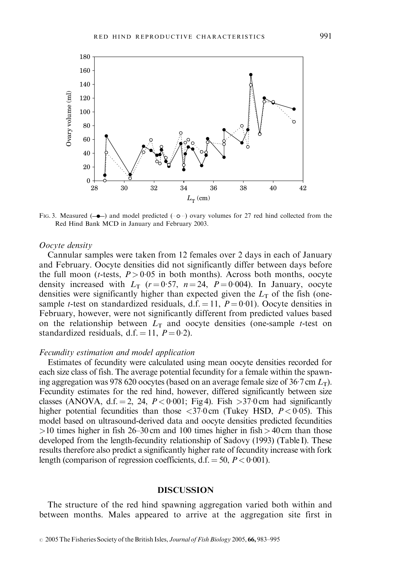

FIG. 3. Measured  $(-\rightarrow)$  and model predicted  $(\cdot \circ \cdot)$  ovary volumes for 27 red hind collected from the Red Hind Bank MCD in January and February 2003.

### Oocyte density

Cannular samples were taken from 12 females over 2 days in each of January and February. Oocyte densities did not significantly differ between days before the full moon (*t*-tests,  $P > 0.05$  in both months). Across both months, oocyte density increased with  $L_T$  ( $r = 0.57$ ,  $n = 24$ ,  $P = 0.004$ ). In January, oocyte densities were significantly higher than expected given the  $L<sub>T</sub>$  of the fish (onesample *t*-test on standardized residuals, d.f. = 11,  $P = 0.01$ ). Oocyte densities in February, however, were not significantly different from predicted values based on the relationship between  $L<sub>T</sub>$  and oocyte densities (one-sample *t*-test on standardized residuals, d.f. = 11,  $P = 0.2$ ).

### Fecundity estimation and model application

Estimates of fecundity were calculated using mean oocyte densities recorded for each size class of fish. The average potential fecundity for a female within the spawning aggregation was 978 620 oocytes (based on an average female size of  $36.7 \text{ cm } L_{\text{T}}$ ). Fecundity estimates for the red hind, however, differed significantly between size classes (ANOVA, d.f. = 2, 24,  $P < 0.001$ ; Fig 4). Fish >37.0 cm had significantly higher potential fecundities than those  $\langle 370 \text{ cm}$  (Tukey HSD,  $P \langle 0.05 \rangle$ ). This model based on ultrasound-derived data and oocyte densities predicted fecundities  $>10$  times higher in fish 26–30 cm and 100 times higher in fish  $> 40$  cm than those developed from the length-fecundity relationship of Sadovy (1993) (Table I). These results therefore also predict a significantly higher rate of fecundity increase with fork length (comparison of regression coefficients,  $d.f. = 50, P < 0.001$ ).

## DISCUSSION

The structure of the red hind spawning aggregation varied both within and between months. Males appeared to arrive at the aggregation site first in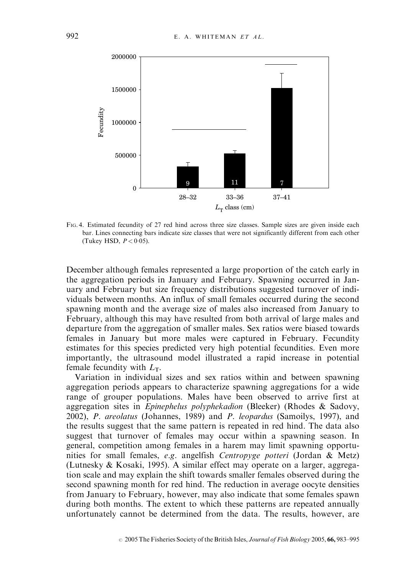

FIG. 4. Estimated fecundity of 27 red hind across three size classes. Sample sizes are given inside each bar. Lines connecting bars indicate size classes that were not significantly different from each other (Tukey HSD,  $P < 0.05$ ).

December although females represented a large proportion of the catch early in the aggregation periods in January and February. Spawning occurred in January and February but size frequency distributions suggested turnover of individuals between months. An influx of small females occurred during the second spawning month and the average size of males also increased from January to February, although this may have resulted from both arrival of large males and departure from the aggregation of smaller males. Sex ratios were biased towards females in January but more males were captured in February. Fecundity estimates for this species predicted very high potential fecundities. Even more importantly, the ultrasound model illustrated a rapid increase in potential female fecundity with  $L_T$ .

Variation in individual sizes and sex ratios within and between spawning aggregation periods appears to characterize spawning aggregations for a wide range of grouper populations. Males have been observed to arrive first at aggregation sites in Epinephelus polyphekadion (Bleeker) (Rhodes & Sadovy, 2002), P. areolatus (Johannes, 1989) and P. leopardus (Samoilys, 1997), and the results suggest that the same pattern is repeated in red hind. The data also suggest that turnover of females may occur within a spawning season. In general, competition among females in a harem may limit spawning opportunities for small females, e.g. angelfish Centropyge potteri (Jordan & Metz) (Lutnesky & Kosaki, 1995). A similar effect may operate on a larger, aggregation scale and may explain the shift towards smaller females observed during the second spawning month for red hind. The reduction in average oocyte densities from January to February, however, may also indicate that some females spawn during both months. The extent to which these patterns are repeated annually unfortunately cannot be determined from the data. The results, however, are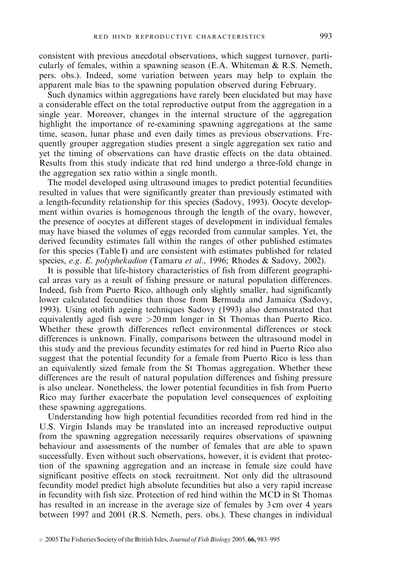consistent with previous anecdotal observations, which suggest turnover, particularly of females, within a spawning season (E.A. Whiteman & R.S. Nemeth, pers. obs.). Indeed, some variation between years may help to explain the apparent male bias to the spawning population observed during February.

Such dynamics within aggregations have rarely been elucidated but may have a considerable effect on the total reproductive output from the aggregation in a single year. Moreover, changes in the internal structure of the aggregation highlight the importance of re-examining spawning aggregations at the same time, season, lunar phase and even daily times as previous observations. Frequently grouper aggregation studies present a single aggregation sex ratio and yet the timing of observations can have drastic effects on the data obtained. Results from this study indicate that red hind undergo a three-fold change in the aggregation sex ratio within a single month.

The model developed using ultrasound images to predict potential fecundities resulted in values that were significantly greater than previously estimated with a length-fecundity relationship for this species (Sadovy, 1993). Oocyte development within ovaries is homogenous through the length of the ovary, however, the presence of oocytes at different stages of development in individual females may have biased the volumes of eggs recorded from cannular samples. Yet, the derived fecundity estimates fall within the ranges of other published estimates for this species (Table I) and are consistent with estimates published for related species, e.g. E. polyphekadion (Tamaru et al., 1996; Rhodes & Sadovy, 2002).

It is possible that life-history characteristics of fish from different geographical areas vary as a result of fishing pressure or natural population differences. Indeed, fish from Puerto Rico, although only slightly smaller, had significantly lower calculated fecundities than those from Bermuda and Jamaica (Sadovy, 1993). Using otolith ageing techniques Sadovy (1993) also demonstrated that equivalently aged fish were >20 mm longer in St Thomas than Puerto Rico. Whether these growth differences reflect environmental differences or stock differences is unknown. Finally, comparisons between the ultrasound model in this study and the previous fecundity estimates for red hind in Puerto Rico also suggest that the potential fecundity for a female from Puerto Rico is less than an equivalently sized female from the St Thomas aggregation. Whether these differences are the result of natural population differences and fishing pressure is also unclear. Nonetheless, the lower potential fecundities in fish from Puerto Rico may further exacerbate the population level consequences of exploiting these spawning aggregations.

Understanding how high potential fecundities recorded from red hind in the U.S. Virgin Islands may be translated into an increased reproductive output from the spawning aggregation necessarily requires observations of spawning behaviour and assessments of the number of females that are able to spawn successfully. Even without such observations, however, it is evident that protection of the spawning aggregation and an increase in female size could have significant positive effects on stock recruitment. Not only did the ultrasound fecundity model predict high absolute fecundities but also a very rapid increase in fecundity with fish size. Protection of red hind within the MCD in St Thomas has resulted in an increase in the average size of females by 3 cm over 4 years between 1997 and 2001 (R.S. Nemeth, pers. obs.). These changes in individual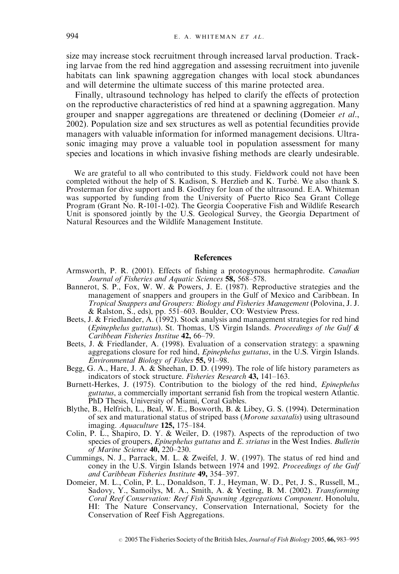size may increase stock recruitment through increased larval production. Tracking larvae from the red hind aggregation and assessing recruitment into juvenile habitats can link spawning aggregation changes with local stock abundances and will determine the ultimate success of this marine protected area.

Finally, ultrasound technology has helped to clarify the effects of protection on the reproductive characteristics of red hind at a spawning aggregation. Many grouper and snapper aggregations are threatened or declining (Domeier et al., 2002). Population size and sex structures as well as potential fecundities provide managers with valuable information for informed management decisions. Ultrasonic imaging may prove a valuable tool in population assessment for many species and locations in which invasive fishing methods are clearly undesirable.

We are grateful to all who contributed to this study. Fieldwork could not have been completed without the help of S. Kadison, S. Herzlieb and K. Turbé. We also thank S. Prosterman for dive support and B. Godfrey for loan of the ultrasound. E.A. Whiteman was supported by funding from the University of Puerto Rico Sea Grant College Program (Grant No. R-101-1-02). The Georgia Cooperative Fish and Wildlife Research Unit is sponsored jointly by the U.S. Geological Survey, the Georgia Department of Natural Resources and the Wildlife Management Institute.

### **References**

- Armsworth, P. R. (2001). Effects of fishing a protogynous hermaphrodite. Canadian Journal of Fisheries and Aquatic Sciences 58, 568–578.
- Bannerot, S. P., Fox, W. W.  $\&$  Powers, J. E. (1987). Reproductive strategies and the management of snappers and groupers in the Gulf of Mexico and Caribbean. In Tropical Snappers and Groupers: Biology and Fisheries Management (Polovina, J. J. & Ralston, S., eds), pp. 551–603. Boulder, CO: Westview Press.
- Beets, J. & Friedlander,  $\dot{A}$ . (1992). Stock analysis and management strategies for red hind (Epinephelus guttatus). St. Thomas, US Virgin Islands. Proceedings of the Gulf  $\&$ Caribbean Fisheries Institue 42, 66–79.
- Beets, J. & Friedlander, A. (1998). Evaluation of a conservation strategy: a spawning aggregations closure for red hind, Epinephelus guttatus, in the U.S. Virgin Islands. Environmental Biology of Fishes 55, 91–98.
- Begg, G. A., Hare, J. A. & Sheehan, D. D. (1999). The role of life history parameters as indicators of stock structure. Fisheries Research 43, 141–163.
- Burnett-Herkes, J. (1975). Contribution to the biology of the red hind, Epinephelus guttatus, a commercially important serranid fish from the tropical western Atlantic. PhD Thesis, University of Miami, Coral Gables.
- Blythe, B., Helfrich, L., Beal, W. E., Bosworth, B. & Libey, G. S. (1994). Determination of sex and maturational status of striped bass (Morone saxatalis) using ultrasound imaging. Aquaculture 125, 175–184.
- Colin, P. L., Shapiro, D. Y. & Weiler, D. (1987). Aspects of the reproduction of two species of groupers, *Epinephelus guttatus* and *E. striatus* in the West Indies. *Bulletin* of Marine Science 40, 220–230.
- Cummings, N. J., Parrack, M. L. & Zweifel, J. W. (1997). The status of red hind and coney in the U.S. Virgin Islands between 1974 and 1992. Proceedings of the Gulf and Caribbean Fisheries Institute 49, 354–397.
- Domeier, M. L., Colin, P. L., Donaldson, T. J., Heyman, W. D., Pet, J. S., Russell, M., Sadovy, Y., Samoilys, M. A., Smith, A. & Yeeting, B. M. (2002). Transforming Coral Reef Conservation: Reef Fish Spawning Aggregations Component. Honolulu, HI: The Nature Conservancy, Conservation International, Society for the Conservation of Reef Fish Aggregations.